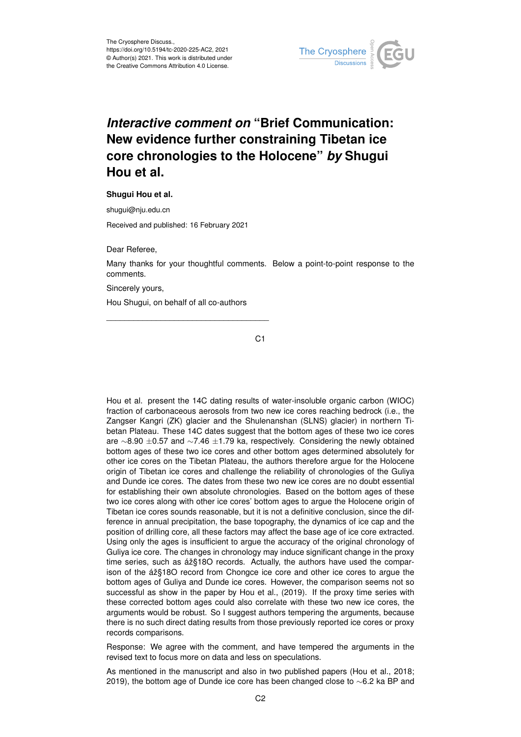

## *Interactive comment on* **"Brief Communication: New evidence further constraining Tibetan ice core chronologies to the Holocene"** *by* **Shugui Hou et al.**

**Shugui Hou et al.**

shugui@nju.edu.cn

Received and published: 16 February 2021

Dear Referee,

Many thanks for your thoughtful comments. Below a point-to-point response to the comments.

Sincerely yours,

Hou Shugui, on behalf of all co-authors

\_\_\_\_\_\_\_\_\_\_\_\_\_\_\_\_\_\_\_\_\_\_\_\_\_\_\_\_\_\_\_\_\_\_\_\_

C<sub>1</sub>

Hou et al. present the 14C dating results of water-insoluble organic carbon (WIOC) fraction of carbonaceous aerosols from two new ice cores reaching bedrock (i.e., the Zangser Kangri (ZK) glacier and the Shulenanshan (SLNS) glacier) in northern Tibetan Plateau. These 14C dates suggest that the bottom ages of these two ice cores are ∼8.90 ±0.57 and ∼7.46 ±1.79 ka, respectively. Considering the newly obtained bottom ages of these two ice cores and other bottom ages determined absolutely for other ice cores on the Tibetan Plateau, the authors therefore argue for the Holocene origin of Tibetan ice cores and challenge the reliability of chronologies of the Guliya and Dunde ice cores. The dates from these two new ice cores are no doubt essential for establishing their own absolute chronologies. Based on the bottom ages of these two ice cores along with other ice cores' bottom ages to argue the Holocene origin of Tibetan ice cores sounds reasonable, but it is not a definitive conclusion, since the difference in annual precipitation, the base topography, the dynamics of ice cap and the position of drilling core, all these factors may affect the base age of ice core extracted. Using only the ages is insufficient to argue the accuracy of the original chronology of Guliya ice core. The changes in chronology may induce significant change in the proxy time series, such as áž§18O records. Actually, the authors have used the comparison of the áž§18O record from Chongce ice core and other ice cores to argue the bottom ages of Guliya and Dunde ice cores. However, the comparison seems not so successful as show in the paper by Hou et al., (2019). If the proxy time series with these corrected bottom ages could also correlate with these two new ice cores, the arguments would be robust. So I suggest authors tempering the arguments, because there is no such direct dating results from those previously reported ice cores or proxy records comparisons.

Response: We agree with the comment, and have tempered the arguments in the revised text to focus more on data and less on speculations.

As mentioned in the manuscript and also in two published papers (Hou et al., 2018; 2019), the bottom age of Dunde ice core has been changed close to ∼6.2 ka BP and